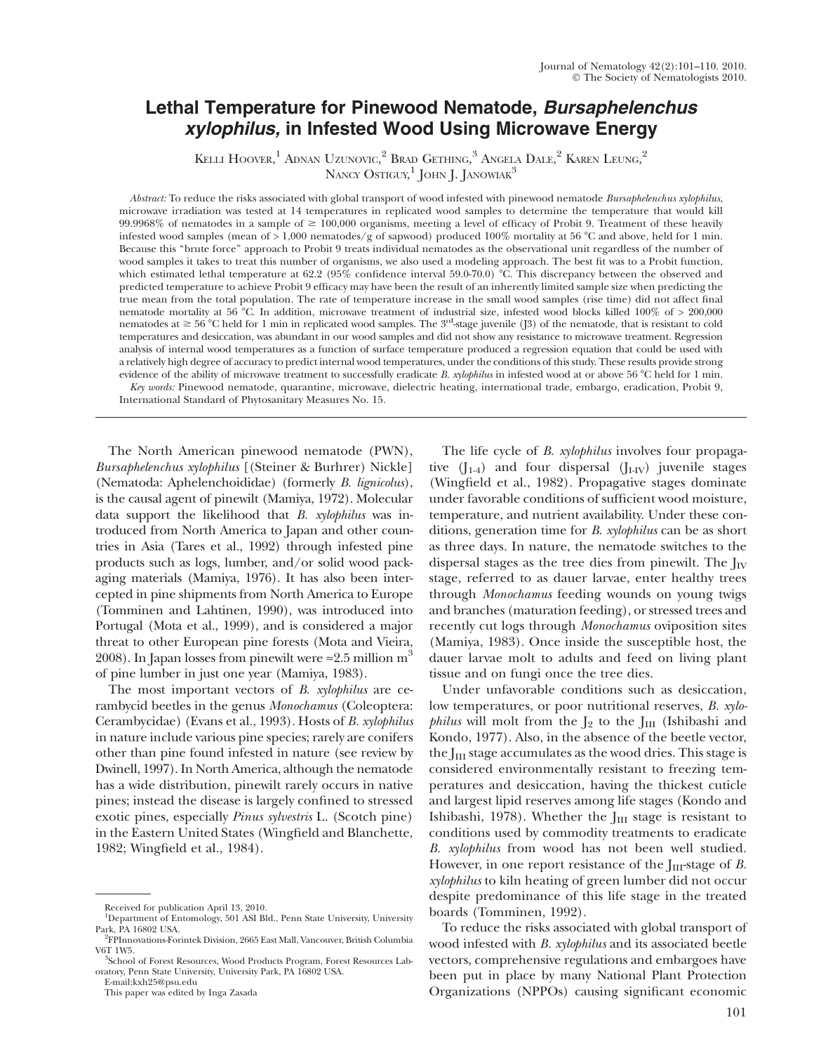# Lethal Temperature for Pinewood Nematode, Bursaphelenchus xylophilus, in Infested Wood Using Microwave Energy

KELLI HOOVER, $^1$  Adnan Uzunovic, $^2$  Brad Gething, $^3$  Angela Dale, $^2$  Karen Leung, $^2$ NANCY  $\mathrm{O}\mathrm{s}$ tiguy, $^1$  John J. Janowiak $^3$ 

Abstract: To reduce the risks associated with global transport of wood infested with pinewood nematode Bursaphelenchus xylophilus, microwave irradiation was tested at 14 temperatures in replicated wood samples to determine the temperature that would kill 99.9968% of nematodes in a sample of  $\geq 100,000$  organisms, meeting a level of efficacy of Probit 9. Treatment of these heavily infested wood samples (mean of  $> 1,000$  nematodes/g of sapwood) produced 100% mortality at 56 °C and above, held for 1 min. Because this ''brute force'' approach to Probit 9 treats individual nematodes as the observational unit regardless of the number of wood samples it takes to treat this number of organisms, we also used a modeling approach. The best fit was to a Probit function, which estimated lethal temperature at  $62.2$  ( $95\%$  confidence interval  $59.0\text{-}70.0$ ) °C. This discrepancy between the observed and predicted temperature to achieve Probit 9 efficacy may have been the result of an inherently limited sample size when predicting the true mean from the total population. The rate of temperature increase in the small wood samples (rise time) did not affect final nematode mortality at 56 °C. In addition, microwave treatment of industrial size, infested wood blocks killed 100% of > 200,000 nematodes at  $\geq 56^{\circ}$ C held for 1 min in replicated wood samples. The 3<sup>rd</sup>-stage juvenile (J3) of the nematode, that is resistant to cold temperatures and desiccation, was abundant in our wood samples and did not show any resistance to microwave treatment. Regression analysis of internal wood temperatures as a function of surface temperature produced a regression equation that could be used with a relatively high degree of accuracy to predict internal wood temperatures, under the conditions of this study. These results provide strong evidence of the ability of microwave treatment to successfully eradicate B. xylophilus in infested wood at or above 56 °C held for 1 min.

Key words: Pinewood nematode, quarantine, microwave, dielectric heating, international trade, embargo, eradication, Probit 9, International Standard of Phytosanitary Measures No. 15.

The North American pinewood nematode (PWN), Bursaphelenchus xylophilus [(Steiner & Burhrer) Nickle] (Nematoda: Aphelenchoididae) (formerly B. lignicolus), is the causal agent of pinewilt (Mamiya, 1972). Molecular data support the likelihood that B. xylophilus was introduced from North America to Japan and other countries in Asia (Tares et al., 1992) through infested pine products such as logs, lumber, and/or solid wood packaging materials (Mamiya, 1976). It has also been intercepted in pine shipments from North America to Europe (Tomminen and Lahtinen, 1990), was introduced into Portugal (Mota et al., 1999), and is considered a major threat to other European pine forests (Mota and Vieira, 2008). In Japan losses from pinewilt were  $\approx 2.5$  million m<sup>3</sup> of pine lumber in just one year (Mamiya, 1983).

The most important vectors of B. xylophilus are cerambycid beetles in the genus Monochamus (Coleoptera: Cerambycidae) (Evans et al., 1993). Hosts of B. xylophilus in nature include various pine species; rarely are conifers other than pine found infested in nature (see review by Dwinell, 1997). In North America, although the nematode has a wide distribution, pinewilt rarely occurs in native pines; instead the disease is largely confined to stressed exotic pines, especially Pinus sylvestris L. (Scotch pine) in the Eastern United States (Wingfield and Blanchette, 1982; Wingfield et al., 1984).

The life cycle of *B. xylophilus* involves four propagative  $(J_{1-4})$  and four dispersal  $(J_{I-IV})$  juvenile stages (Wingfield et al., 1982). Propagative stages dominate under favorable conditions of sufficient wood moisture, temperature, and nutrient availability. Under these conditions, generation time for B. xylophilus can be as short as three days. In nature, the nematode switches to the dispersal stages as the tree dies from pinewilt. The  $J_{IV}$ stage, referred to as dauer larvae, enter healthy trees through Monochamus feeding wounds on young twigs and branches (maturation feeding), or stressed trees and recently cut logs through Monochamus oviposition sites (Mamiya, 1983). Once inside the susceptible host, the dauer larvae molt to adults and feed on living plant tissue and on fungi once the tree dies.

Under unfavorable conditions such as desiccation, low temperatures, or poor nutritional reserves, B. xylo*philus* will molt from the  $J_2$  to the  $J_{III}$  (Ishibashi and Kondo, 1977). Also, in the absence of the beetle vector, the  $J_{III}$  stage accumulates as the wood dries. This stage is considered environmentally resistant to freezing temperatures and desiccation, having the thickest cuticle and largest lipid reserves among life stages (Kondo and Ishibashi, 1978). Whether the  $J<sub>III</sub>$  stage is resistant to conditions used by commodity treatments to eradicate B. xylophilus from wood has not been well studied. However, in one report resistance of the  $I<sub>III</sub>$ -stage of B. xylophilus to kiln heating of green lumber did not occur despite predominance of this life stage in the treated boards (Tomminen, 1992).

To reduce the risks associated with global transport of wood infested with B. xylophilus and its associated beetle vectors, comprehensive regulations and embargoes have been put in place by many National Plant Protection Organizations (NPPOs) causing significant economic

Received for publication April 13, 2010.

<sup>&</sup>lt;sup>1</sup>Department of Entomology, 501 ASI Bld., Penn State University, University Park, PA 16802 USA. <sup>2</sup>

 $\mathrm{^{2}F}$ PInnovations-Forintek Division, 2665 East Mall, Vancouver, British Columbia V6T 1W5.

School of Forest Resources, Wood Products Program, Forest Resources Laboratory, Penn State University, University Park, PA 16802 USA.

E-mail:kxh25@psu.edu

This paper was edited by Inga Zasada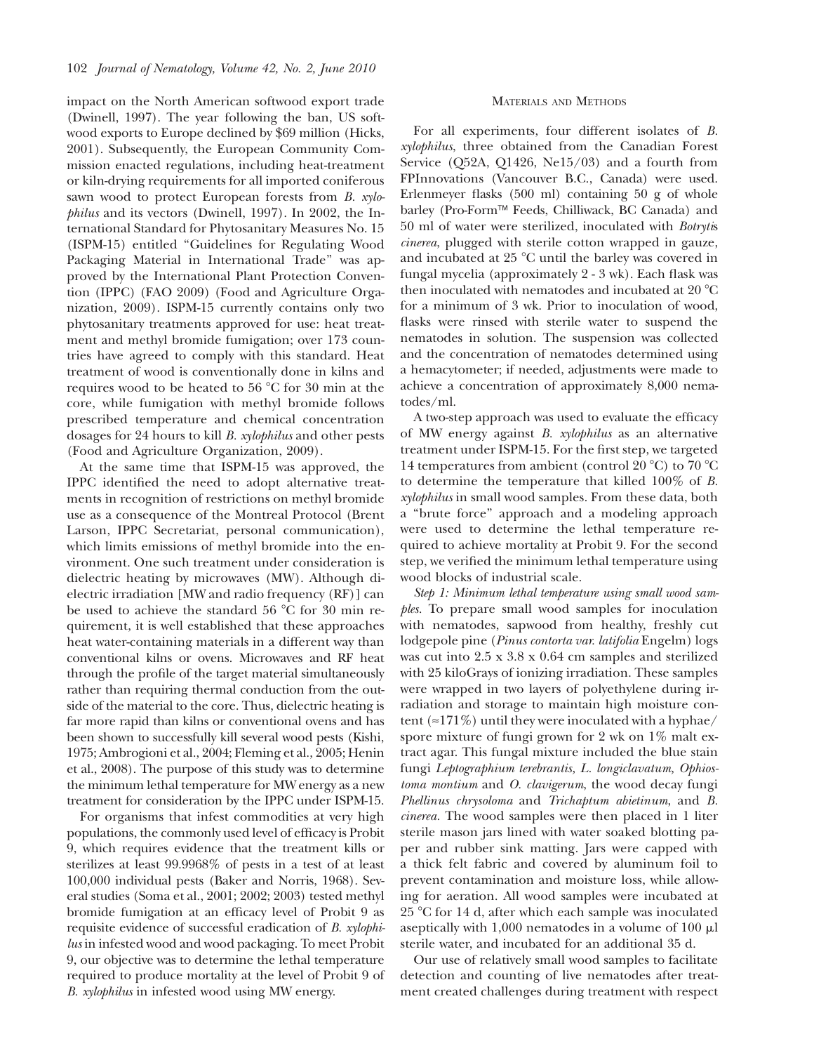impact on the North American softwood export trade (Dwinell, 1997). The year following the ban, US softwood exports to Europe declined by \$69 million (Hicks, 2001). Subsequently, the European Community Commission enacted regulations, including heat-treatment or kiln-drying requirements for all imported coniferous sawn wood to protect European forests from B. xylophilus and its vectors (Dwinell, 1997). In 2002, the International Standard for Phytosanitary Measures No. 15 (ISPM-15) entitled ''Guidelines for Regulating Wood Packaging Material in International Trade'' was approved by the International Plant Protection Convention (IPPC) (FAO 2009) (Food and Agriculture Organization, 2009). ISPM-15 currently contains only two phytosanitary treatments approved for use: heat treatment and methyl bromide fumigation; over 173 countries have agreed to comply with this standard. Heat treatment of wood is conventionally done in kilns and requires wood to be heated to 56 °C for 30 min at the core, while fumigation with methyl bromide follows prescribed temperature and chemical concentration dosages for 24 hours to kill B. xylophilus and other pests (Food and Agriculture Organization, 2009).

At the same time that ISPM-15 was approved, the IPPC identified the need to adopt alternative treatments in recognition of restrictions on methyl bromide use as a consequence of the Montreal Protocol (Brent Larson, IPPC Secretariat, personal communication), which limits emissions of methyl bromide into the environment. One such treatment under consideration is dielectric heating by microwaves (MW). Although dielectric irradiation [MW and radio frequency (RF)] can be used to achieve the standard 56  $\degree$ C for 30 min requirement, it is well established that these approaches heat water-containing materials in a different way than conventional kilns or ovens. Microwaves and RF heat through the profile of the target material simultaneously rather than requiring thermal conduction from the outside of the material to the core. Thus, dielectric heating is far more rapid than kilns or conventional ovens and has been shown to successfully kill several wood pests (Kishi, 1975; Ambrogioni et al., 2004; Fleming et al., 2005; Henin et al., 2008). The purpose of this study was to determine the minimum lethal temperature for MW energy as a new treatment for consideration by the IPPC under ISPM-15.

For organisms that infest commodities at very high populations, the commonly used level of efficacy is Probit 9, which requires evidence that the treatment kills or sterilizes at least 99.9968% of pests in a test of at least 100,000 individual pests (Baker and Norris, 1968). Several studies (Soma et al., 2001; 2002; 2003) tested methyl bromide fumigation at an efficacy level of Probit 9 as requisite evidence of successful eradication of B. xylophilus in infested wood and wood packaging. To meet Probit 9, our objective was to determine the lethal temperature required to produce mortality at the level of Probit 9 of B. xylophilus in infested wood using MW energy.

# MATERIALS AND METHODS

For all experiments, four different isolates of B. xylophilus, three obtained from the Canadian Forest Service (Q52A, Q1426, Ne15/03) and a fourth from FPInnovations (Vancouver B.C., Canada) were used. Erlenmeyer flasks (500 ml) containing 50 g of whole barley (Pro-Form™ Feeds, Chilliwack, BC Canada) and 50 ml of water were sterilized, inoculated with Botrytis cinerea, plugged with sterile cotton wrapped in gauze, and incubated at  $25 \text{ °C}$  until the barley was covered in fungal mycelia (approximately 2 - 3 wk). Each flask was then inoculated with nematodes and incubated at  $20^{\circ}$ C for a minimum of 3 wk. Prior to inoculation of wood, flasks were rinsed with sterile water to suspend the nematodes in solution. The suspension was collected and the concentration of nematodes determined using a hemacytometer; if needed, adjustments were made to achieve a concentration of approximately 8,000 nematodes/ml.

A two-step approach was used to evaluate the efficacy of MW energy against B. xylophilus as an alternative treatment under ISPM-15. For the first step, we targeted 14 temperatures from ambient (control 20 °C) to 70 °C to determine the temperature that killed 100% of B. xylophilus in small wood samples. From these data, both a ''brute force'' approach and a modeling approach were used to determine the lethal temperature required to achieve mortality at Probit 9. For the second step, we verified the minimum lethal temperature using wood blocks of industrial scale.

Step 1: Minimum lethal temperature using small wood samples. To prepare small wood samples for inoculation with nematodes, sapwood from healthy, freshly cut lodgepole pine (Pinus contorta var. latifolia Engelm) logs was cut into 2.5 x 3.8 x 0.64 cm samples and sterilized with 25 kiloGrays of ionizing irradiation. These samples were wrapped in two layers of polyethylene during irradiation and storage to maintain high moisture content ( $\approx$ 171%) until they were inoculated with a hyphae/ spore mixture of fungi grown for 2 wk on  $1\%$  malt extract agar. This fungal mixture included the blue stain fungi Leptographium terebrantis, L. longiclavatum, Ophiostoma montium and O. clavigerum, the wood decay fungi Phellinus chrysoloma and Trichaptum abietinum, and B. cinerea. The wood samples were then placed in 1 liter sterile mason jars lined with water soaked blotting paper and rubber sink matting. Jars were capped with a thick felt fabric and covered by aluminum foil to prevent contamination and moisture loss, while allowing for aeration. All wood samples were incubated at 25 8C for 14 d, after which each sample was inoculated aseptically with  $1,000$  nematodes in a volume of  $100 \mu$ l sterile water, and incubated for an additional 35 d.

Our use of relatively small wood samples to facilitate detection and counting of live nematodes after treatment created challenges during treatment with respect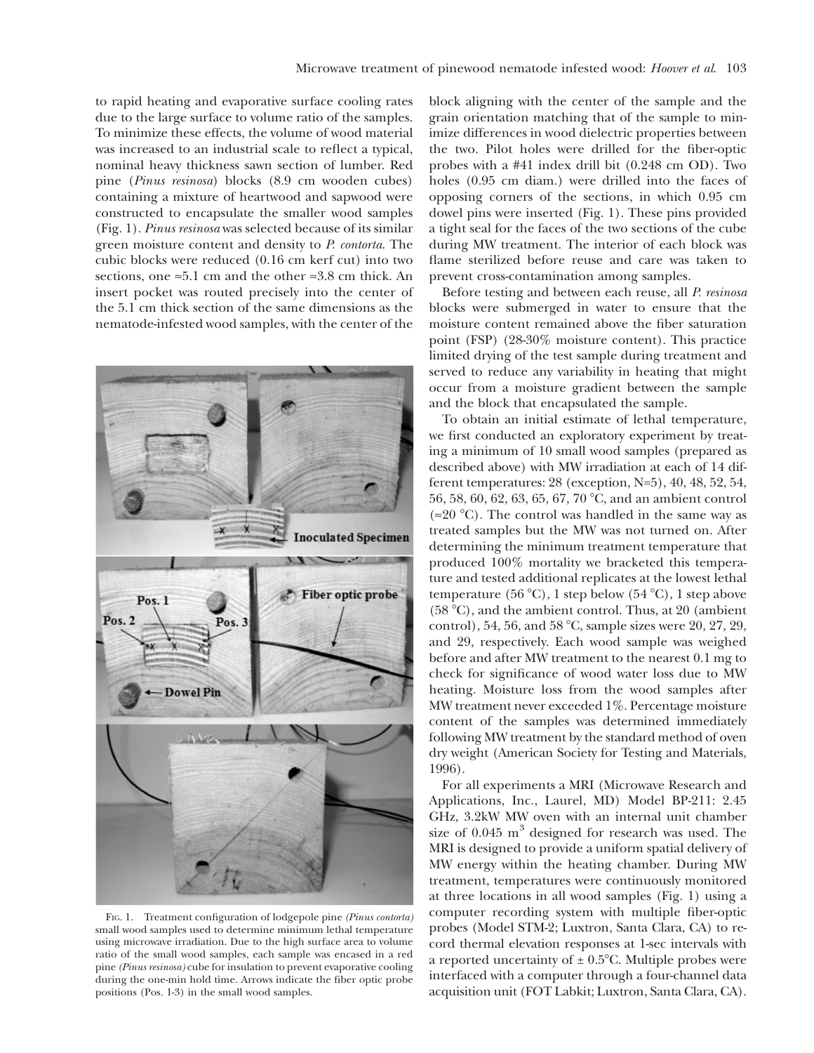to rapid heating and evaporative surface cooling rates due to the large surface to volume ratio of the samples. To minimize these effects, the volume of wood material was increased to an industrial scale to reflect a typical, nominal heavy thickness sawn section of lumber. Red pine (Pinus resinosa) blocks (8.9 cm wooden cubes) containing a mixture of heartwood and sapwood were constructed to encapsulate the smaller wood samples (Fig. 1). Pinus resinosa was selected because of its similar green moisture content and density to P. contorta. The cubic blocks were reduced (0.16 cm kerf cut) into two sections, one  $\approx 5.1$  cm and the other  $\approx 3.8$  cm thick. An insert pocket was routed precisely into the center of the 5.1 cm thick section of the same dimensions as the nematode-infested wood samples, with the center of the



FIG. 1. Treatment configuration of lodgepole pine (Pinus contorta) small wood samples used to determine minimum lethal temperature using microwave irradiation. Due to the high surface area to volume ratio of the small wood samples, each sample was encased in a red pine (Pinus resinosa) cube for insulation to prevent evaporative cooling during the one-min hold time. Arrows indicate the fiber optic probe positions (Pos. 1-3) in the small wood samples.

block aligning with the center of the sample and the grain orientation matching that of the sample to minimize differences in wood dielectric properties between the two. Pilot holes were drilled for the fiber-optic probes with a #41 index drill bit (0.248 cm OD). Two holes (0.95 cm diam.) were drilled into the faces of opposing corners of the sections, in which 0.95 cm dowel pins were inserted (Fig. 1). These pins provided a tight seal for the faces of the two sections of the cube during MW treatment. The interior of each block was flame sterilized before reuse and care was taken to prevent cross-contamination among samples.

Before testing and between each reuse, all P. resinosa blocks were submerged in water to ensure that the moisture content remained above the fiber saturation point (FSP) (28-30% moisture content). This practice limited drying of the test sample during treatment and served to reduce any variability in heating that might occur from a moisture gradient between the sample and the block that encapsulated the sample.

To obtain an initial estimate of lethal temperature, we first conducted an exploratory experiment by treating a minimum of 10 small wood samples (prepared as described above) with MW irradiation at each of 14 different temperatures: 28 (exception, N=5), 40, 48, 52, 54, 56, 58, 60, 62, 63, 65, 67, 70 °C, and an ambient control  $(\approx 20$  °C). The control was handled in the same way as treated samples but the MW was not turned on. After determining the minimum treatment temperature that produced 100% mortality we bracketed this temperature and tested additional replicates at the lowest lethal temperature (56 °C), 1 step below (54 °C), 1 step above  $(58 °C)$ , and the ambient control. Thus, at 20 (ambient control), 54, 56, and 58  $^{\circ}$ C, sample sizes were 20, 27, 29, and 29, respectively. Each wood sample was weighed before and after MW treatment to the nearest 0.1 mg to check for significance of wood water loss due to MW heating. Moisture loss from the wood samples after MW treatment never exceeded 1%. Percentage moisture content of the samples was determined immediately following MW treatment by the standard method of oven dry weight (American Society for Testing and Materials, 1996).

For all experiments a MRI (Microwave Research and Applications, Inc., Laurel, MD) Model BP-211: 2.45 GHz, 3.2kW MW oven with an internal unit chamber size of  $0.045 \text{ m}^3$  designed for research was used. The MRI is designed to provide a uniform spatial delivery of MW energy within the heating chamber. During MW treatment, temperatures were continuously monitored at three locations in all wood samples (Fig. 1) using a computer recording system with multiple fiber-optic probes (Model STM-2; Luxtron, Santa Clara, CA) to record thermal elevation responses at 1-sec intervals with a reported uncertainty of  $\pm$  0.5°C. Multiple probes were interfaced with a computer through a four-channel data acquisition unit (FOT Labkit; Luxtron, Santa Clara, CA).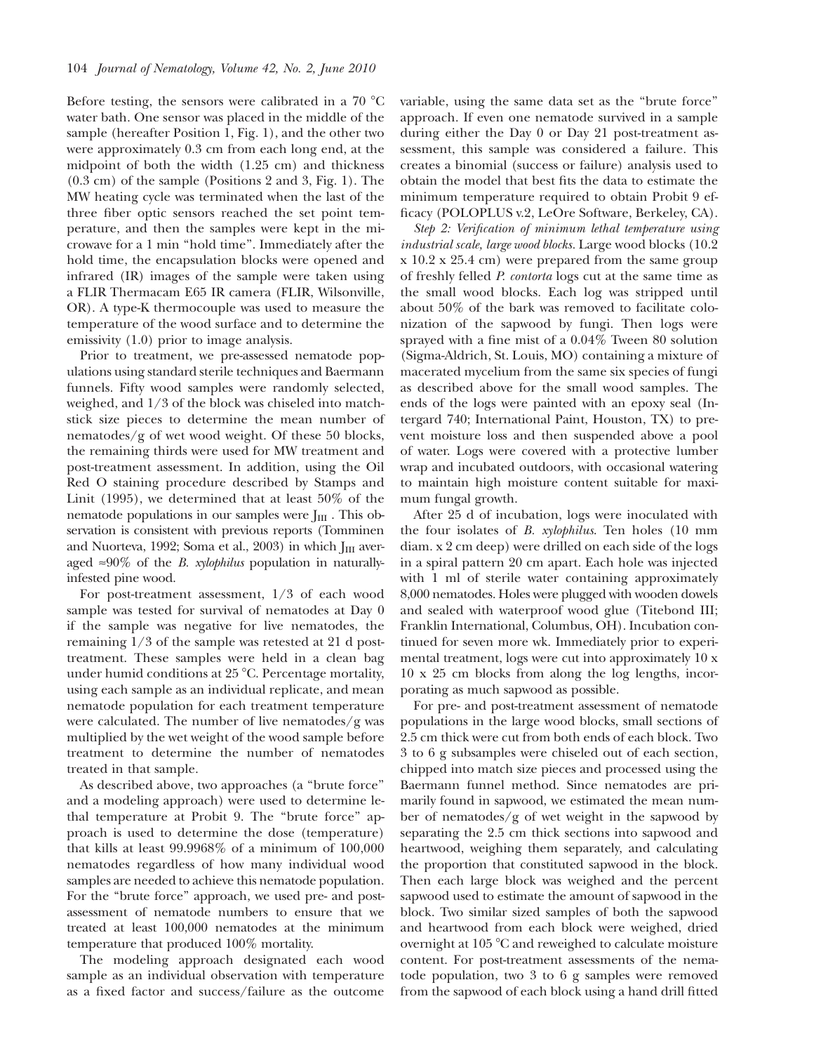Before testing, the sensors were calibrated in a  $70 \text{ °C}$ water bath. One sensor was placed in the middle of the sample (hereafter Position 1, Fig. 1), and the other two were approximately 0.3 cm from each long end, at the midpoint of both the width (1.25 cm) and thickness (0.3 cm) of the sample (Positions 2 and 3, Fig. 1). The MW heating cycle was terminated when the last of the three fiber optic sensors reached the set point temperature, and then the samples were kept in the microwave for a 1 min ''hold time''. Immediately after the hold time, the encapsulation blocks were opened and infrared (IR) images of the sample were taken using a FLIR Thermacam E65 IR camera (FLIR, Wilsonville, OR). A type-K thermocouple was used to measure the temperature of the wood surface and to determine the emissivity (1.0) prior to image analysis.

Prior to treatment, we pre-assessed nematode populations using standard sterile techniques and Baermann funnels. Fifty wood samples were randomly selected, weighed, and 1/3 of the block was chiseled into matchstick size pieces to determine the mean number of nematodes/g of wet wood weight. Of these 50 blocks, the remaining thirds were used for MW treatment and post-treatment assessment. In addition, using the Oil Red O staining procedure described by Stamps and Linit (1995), we determined that at least 50% of the nematode populations in our samples were  $J_{III}$ . This observation is consistent with previous reports (Tomminen and Nuorteva, 1992; Soma et al., 2003) in which  $J<sub>III</sub>$  averaged  $\approx 90\%$  of the *B. xylophilus* population in naturallyinfested pine wood.

For post-treatment assessment, 1/3 of each wood sample was tested for survival of nematodes at Day 0 if the sample was negative for live nematodes, the remaining 1/3 of the sample was retested at 21 d posttreatment. These samples were held in a clean bag under humid conditions at  $25^{\circ}$ C. Percentage mortality, using each sample as an individual replicate, and mean nematode population for each treatment temperature were calculated. The number of live nematodes/g was multiplied by the wet weight of the wood sample before treatment to determine the number of nematodes treated in that sample.

As described above, two approaches (a ''brute force'' and a modeling approach) were used to determine lethal temperature at Probit 9. The ''brute force'' approach is used to determine the dose (temperature) that kills at least 99.9968% of a minimum of 100,000 nematodes regardless of how many individual wood samples are needed to achieve this nematode population. For the "brute force" approach, we used pre- and postassessment of nematode numbers to ensure that we treated at least 100,000 nematodes at the minimum temperature that produced 100% mortality.

The modeling approach designated each wood sample as an individual observation with temperature as a fixed factor and success/failure as the outcome variable, using the same data set as the ''brute force'' approach. If even one nematode survived in a sample during either the Day 0 or Day 21 post-treatment assessment, this sample was considered a failure. This creates a binomial (success or failure) analysis used to obtain the model that best fits the data to estimate the minimum temperature required to obtain Probit 9 efficacy (POLOPLUS v.2, LeOre Software, Berkeley, CA).

Step 2: Verification of minimum lethal temperature using industrial scale, large wood blocks. Large wood blocks (10.2 x 10.2 x 25.4 cm) were prepared from the same group of freshly felled P. contorta logs cut at the same time as the small wood blocks. Each log was stripped until about 50% of the bark was removed to facilitate colonization of the sapwood by fungi. Then logs were sprayed with a fine mist of a 0.04% Tween 80 solution (Sigma-Aldrich, St. Louis, MO) containing a mixture of macerated mycelium from the same six species of fungi as described above for the small wood samples. The ends of the logs were painted with an epoxy seal (Intergard 740; International Paint, Houston, TX) to prevent moisture loss and then suspended above a pool of water. Logs were covered with a protective lumber wrap and incubated outdoors, with occasional watering to maintain high moisture content suitable for maximum fungal growth.

After 25 d of incubation, logs were inoculated with the four isolates of B. xylophilus. Ten holes (10 mm diam. x 2 cm deep) were drilled on each side of the logs in a spiral pattern 20 cm apart. Each hole was injected with 1 ml of sterile water containing approximately 8,000 nematodes. Holes were plugged with wooden dowels and sealed with waterproof wood glue (Titebond III; Franklin International, Columbus, OH). Incubation continued for seven more wk. Immediately prior to experimental treatment, logs were cut into approximately 10 x 10 x 25 cm blocks from along the log lengths, incorporating as much sapwood as possible.

For pre- and post-treatment assessment of nematode populations in the large wood blocks, small sections of 2.5 cm thick were cut from both ends of each block. Two 3 to 6 g subsamples were chiseled out of each section, chipped into match size pieces and processed using the Baermann funnel method. Since nematodes are primarily found in sapwood, we estimated the mean number of nematodes/g of wet weight in the sapwood by separating the 2.5 cm thick sections into sapwood and heartwood, weighing them separately, and calculating the proportion that constituted sapwood in the block. Then each large block was weighed and the percent sapwood used to estimate the amount of sapwood in the block. Two similar sized samples of both the sapwood and heartwood from each block were weighed, dried overnight at 105 °C and reweighed to calculate moisture content. For post-treatment assessments of the nematode population, two 3 to 6 g samples were removed from the sapwood of each block using a hand drill fitted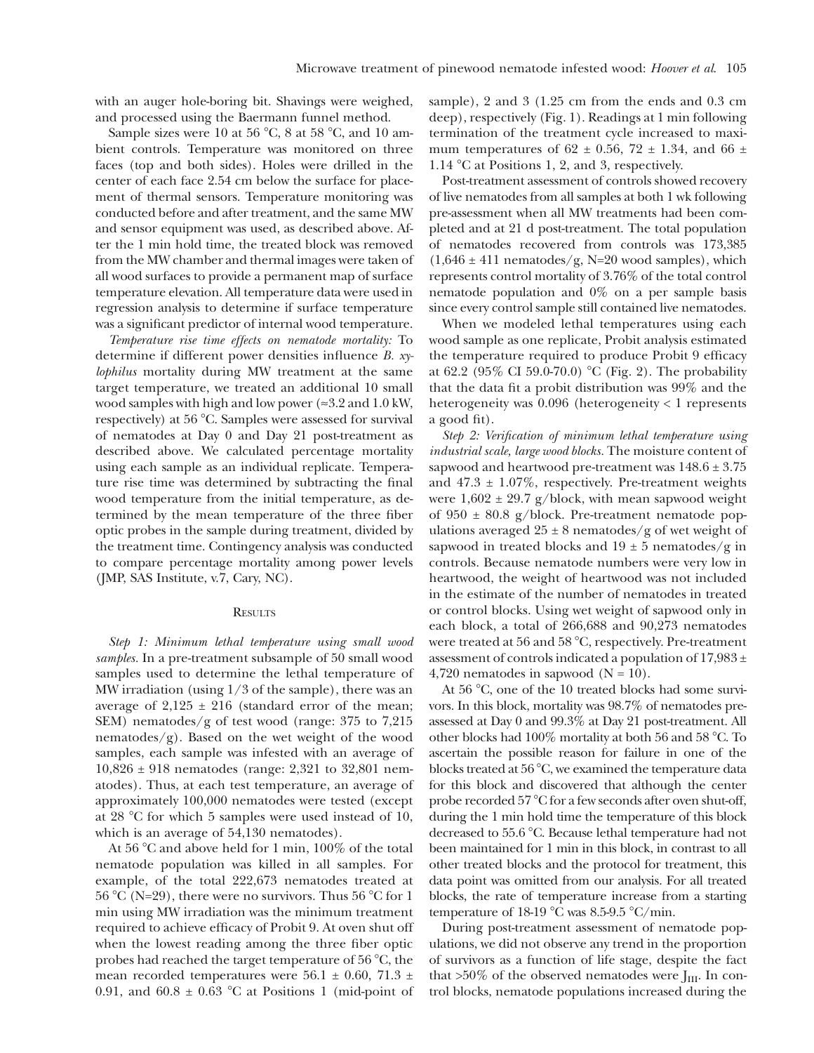with an auger hole-boring bit. Shavings were weighed, and processed using the Baermann funnel method.

Sample sizes were 10 at 56  $^{\circ}$ C, 8 at 58  $^{\circ}$ C, and 10 ambient controls. Temperature was monitored on three faces (top and both sides). Holes were drilled in the center of each face 2.54 cm below the surface for placement of thermal sensors. Temperature monitoring was conducted before and after treatment, and the same MW and sensor equipment was used, as described above. After the 1 min hold time, the treated block was removed from the MW chamber and thermal images were taken of all wood surfaces to provide a permanent map of surface temperature elevation. All temperature data were used in regression analysis to determine if surface temperature was a significant predictor of internal wood temperature.

Temperature rise time effects on nematode mortality: To determine if different power densities influence B. xylophilus mortality during MW treatment at the same target temperature, we treated an additional 10 small wood samples with high and low power ( $\approx$ 3.2 and 1.0 kW, respectively) at 56 °C. Samples were assessed for survival of nematodes at Day 0 and Day 21 post-treatment as described above. We calculated percentage mortality using each sample as an individual replicate. Temperature rise time was determined by subtracting the final wood temperature from the initial temperature, as determined by the mean temperature of the three fiber optic probes in the sample during treatment, divided by the treatment time. Contingency analysis was conducted to compare percentage mortality among power levels (JMP, SAS Institute, v.7, Cary, NC).

#### **RESULTS**

Step 1: Minimum lethal temperature using small wood samples. In a pre-treatment subsample of 50 small wood samples used to determine the lethal temperature of MW irradiation (using 1/3 of the sample), there was an average of  $2,125 \pm 216$  (standard error of the mean; SEM) nematodes/g of test wood (range: 375 to 7,215 nematodes/g). Based on the wet weight of the wood samples, each sample was infested with an average of 10,826 ± 918 nematodes (range: 2,321 to 32,801 nematodes). Thus, at each test temperature, an average of approximately 100,000 nematodes were tested (except at 28  $\degree$ C for which 5 samples were used instead of 10, which is an average of 54,130 nematodes).

At 56  $\degree$ C and above held for 1 min, 100% of the total nematode population was killed in all samples. For example, of the total 222,673 nematodes treated at 56 °C (N=29), there were no survivors. Thus 56 °C for 1 min using MW irradiation was the minimum treatment required to achieve efficacy of Probit 9. At oven shut off when the lowest reading among the three fiber optic probes had reached the target temperature of  $56^{\circ}$ C, the mean recorded temperatures were  $56.1 \pm 0.60$ ,  $71.3 \pm 1.5$ 0.91, and  $60.8 \pm 0.63$  °C at Positions 1 (mid-point of sample), 2 and 3 (1.25 cm from the ends and 0.3 cm deep), respectively (Fig. 1). Readings at 1 min following termination of the treatment cycle increased to maximum temperatures of  $62 \pm 0.56$ ,  $72 \pm 1.34$ , and  $66 \pm 1.56$ 1.14  $\mathrm{C}$  at Positions 1, 2, and 3, respectively.

Post-treatment assessment of controls showed recovery of live nematodes from all samples at both 1 wk following pre-assessment when all MW treatments had been completed and at 21 d post-treatment. The total population of nematodes recovered from controls was 173,385  $(1,646 \pm 411 \text{ nematodes/g}, N=20 \text{ wood samples})$ , which represents control mortality of 3.76% of the total control nematode population and 0% on a per sample basis since every control sample still contained live nematodes.

When we modeled lethal temperatures using each wood sample as one replicate, Probit analysis estimated the temperature required to produce Probit 9 efficacy at 62.2 (95% CI 59.0-70.0) °C (Fig. 2). The probability that the data fit a probit distribution was 99% and the heterogeneity was 0.096 (heterogeneity < 1 represents a good fit).

Step 2: Verification of minimum lethal temperature using industrial scale, large wood blocks. The moisture content of sapwood and heartwood pre-treatment was 148.6 ± 3.75 and  $47.3 \pm 1.07\%$ , respectively. Pre-treatment weights were  $1,602 \pm 29.7$  g/block, with mean sapwood weight of  $950 \pm 80.8$  g/block. Pre-treatment nematode populations averaged  $25 \pm 8$  nematodes/g of wet weight of sapwood in treated blocks and  $19 \pm 5$  nematodes/g in controls. Because nematode numbers were very low in heartwood, the weight of heartwood was not included in the estimate of the number of nematodes in treated or control blocks. Using wet weight of sapwood only in each block, a total of 266,688 and 90,273 nematodes were treated at 56 and 58  $^{\circ}$ C, respectively. Pre-treatment assessment of controls indicated a population of  $17,983 \pm$ 4,720 nematodes in sapwood  $(N = 10)$ .

At  $56^{\circ}$ C, one of the 10 treated blocks had some survivors. In this block, mortality was 98.7% of nematodes preassessed at Day 0 and 99.3% at Day 21 post-treatment. All other blocks had  $100\%$  mortality at both 56 and 58 °C. To ascertain the possible reason for failure in one of the blocks treated at 56  $\degree$ C, we examined the temperature data for this block and discovered that although the center probe recorded 57 °C for a few seconds after oven shut-off, during the 1 min hold time the temperature of this block decreased to 55.6 °C. Because lethal temperature had not been maintained for 1 min in this block, in contrast to all other treated blocks and the protocol for treatment, this data point was omitted from our analysis. For all treated blocks, the rate of temperature increase from a starting temperature of 18-19 °C was 8.5-9.5 °C/min.

During post-treatment assessment of nematode populations, we did not observe any trend in the proportion of survivors as a function of life stage, despite the fact that  $>50\%$  of the observed nematodes were J<sub>III</sub>. In control blocks, nematode populations increased during the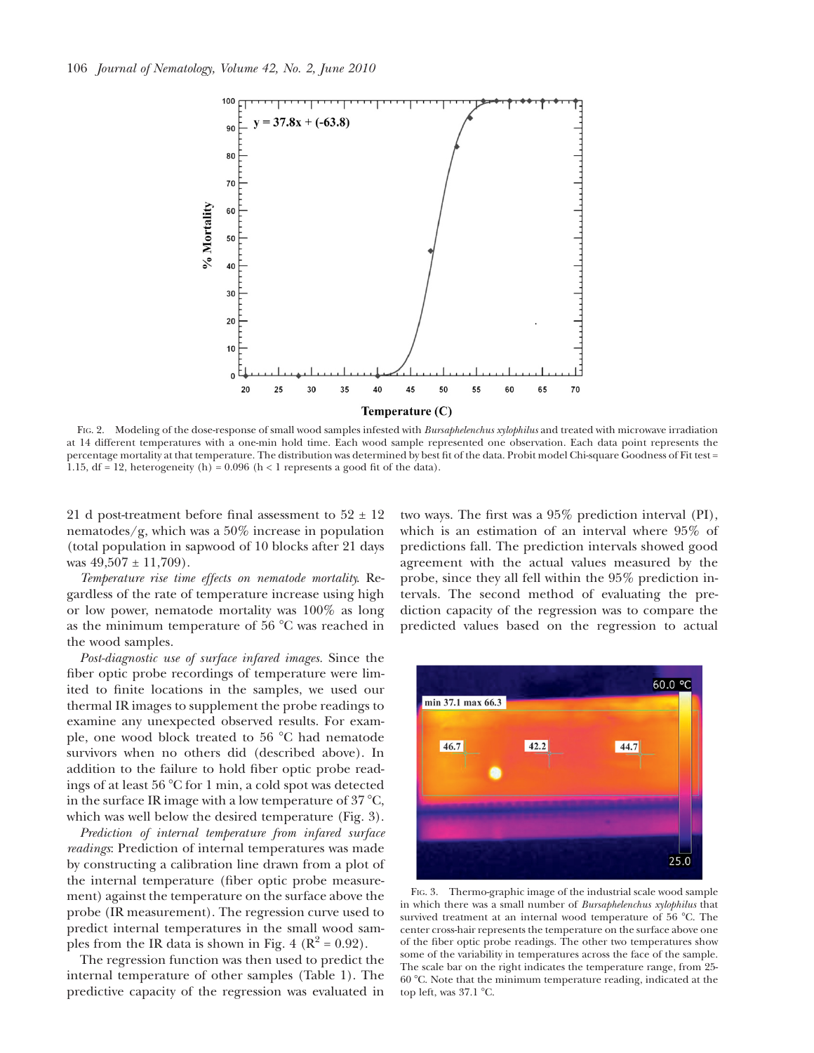

FIG. 2. Modeling of the dose-response of small wood samples infested with Bursaphelenchus xylophilus and treated with microwave irradiation at 14 different temperatures with a one-min hold time. Each wood sample represented one observation. Each data point represents the percentage mortality at that temperature. The distribution was determined by best fit of the data. Probit model Chi-square Goodness of Fit test = 1.15, df = 12, heterogeneity (h) =  $0.096$  (h < 1 represents a good fit of the data).

21 d post-treatment before final assessment to  $52 \pm 12$ nematodes/g, which was a 50% increase in population (total population in sapwood of 10 blocks after 21 days was  $49,507 \pm 11,709$ .

Temperature rise time effects on nematode mortality. Regardless of the rate of temperature increase using high or low power, nematode mortality was 100% as long as the minimum temperature of  $56^{\circ}$ C was reached in the wood samples.

Post-diagnostic use of surface infared images. Since the fiber optic probe recordings of temperature were limited to finite locations in the samples, we used our thermal IR images to supplement the probe readings to examine any unexpected observed results. For example, one wood block treated to 56  $^{\circ}$ C had nematode survivors when no others did (described above). In addition to the failure to hold fiber optic probe readings of at least 56  $\degree$ C for 1 min, a cold spot was detected in the surface IR image with a low temperature of  $37 \degree C$ , which was well below the desired temperature (Fig. 3).

Prediction of internal temperature from infared surface readings: Prediction of internal temperatures was made by constructing a calibration line drawn from a plot of the internal temperature (fiber optic probe measurement) against the temperature on the surface above the probe (IR measurement). The regression curve used to predict internal temperatures in the small wood samples from the IR data is shown in Fig. 4 ( $\mathbb{R}^2 = 0.92$ ).

The regression function was then used to predict the internal temperature of other samples (Table 1). The predictive capacity of the regression was evaluated in two ways. The first was a 95% prediction interval (PI), which is an estimation of an interval where 95% of predictions fall. The prediction intervals showed good agreement with the actual values measured by the probe, since they all fell within the 95% prediction intervals. The second method of evaluating the prediction capacity of the regression was to compare the predicted values based on the regression to actual



FIG. 3. Thermo-graphic image of the industrial scale wood sample in which there was a small number of Bursaphelenchus xylophilus that survived treatment at an internal wood temperature of 56 °C. The center cross-hair represents the temperature on the surface above one of the fiber optic probe readings. The other two temperatures show some of the variability in temperatures across the face of the sample. The scale bar on the right indicates the temperature range, from 25- 60 8C. Note that the minimum temperature reading, indicated at the top left, was  $37.1 \text{ }^{\circ}$ C.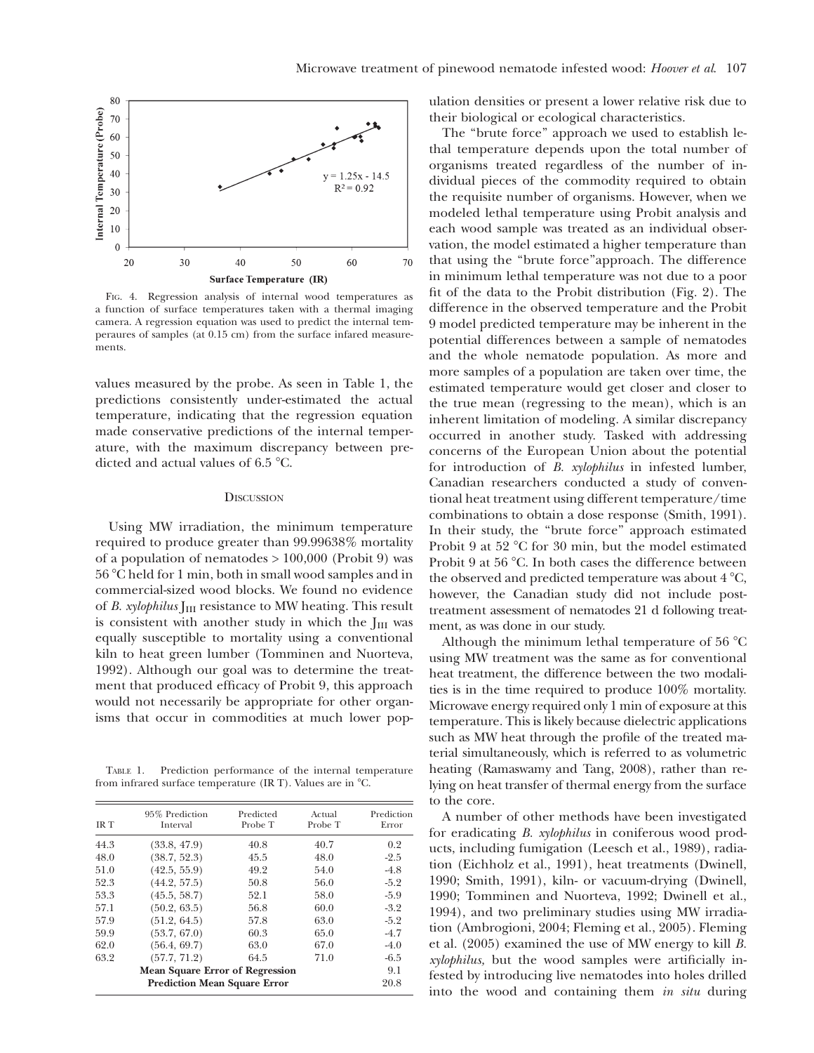

FIG. 4. Regression analysis of internal wood temperatures as a function of surface temperatures taken with a thermal imaging camera. A regression equation was used to predict the internal temperaures of samples (at 0.15 cm) from the surface infared measurements.

values measured by the probe. As seen in Table 1, the predictions consistently under-estimated the actual temperature, indicating that the regression equation made conservative predictions of the internal temperature, with the maximum discrepancy between predicted and actual values of  $6.5 \text{ °C}$ .

### **DISCUSSION**

Using MW irradiation, the minimum temperature required to produce greater than 99.99638% mortality of a population of nematodes  $> 100,000$  (Probit 9) was 56 8C held for 1 min, both in small wood samples and in commercial-sized wood blocks. We found no evidence of B. xylophilus  $\text{I}_{III}$  resistance to MW heating. This result is consistent with another study in which the  $J<sub>III</sub>$  was equally susceptible to mortality using a conventional kiln to heat green lumber (Tomminen and Nuorteva, 1992). Although our goal was to determine the treatment that produced efficacy of Probit 9, this approach would not necessarily be appropriate for other organisms that occur in commodities at much lower pop-

TABLE 1. Prediction performance of the internal temperature from infrared surface temperature (IR T). Values are in  $^{\circ}$ C.

| <b>IRT</b>                             | 95% Prediction<br>Interval | Predicted<br>Probe T | Actual<br>Probe T | Prediction<br>Error |
|----------------------------------------|----------------------------|----------------------|-------------------|---------------------|
| 44.3                                   | (33.8, 47.9)               | 40.8                 | 40.7              | 0.2                 |
| 48.0                                   | (38.7, 52.3)               | 45.5                 | 48.0              | $-2.5$              |
| 51.0                                   | (42.5, 55.9)               | 49.2                 | 54.0              | $-4.8$              |
| 52.3                                   | (44.2, 57.5)               | 50.8                 | 56.0              | $-5.2$              |
| 53.3                                   | (45.5, 58.7)               | 52.1                 | 58.0              | $-5.9$              |
| 57.1                                   | (50.2, 63.5)               | 56.8                 | 60.0              | $-3.2$              |
| 57.9                                   | (51.2, 64.5)               | 57.8                 | 63.0              | $-5.2$              |
| 59.9                                   | (53.7, 67.0)               | 60.3                 | 65.0              | $-4.7$              |
| 62.0                                   | (56.4, 69.7)               | 63.0                 | 67.0              | $-4.0$              |
| 63.2                                   | (57.7, 71.2)               | 64.5                 | 71.0              | $-6.5$              |
| <b>Mean Square Error of Regression</b> |                            |                      |                   | 9.1                 |
| <b>Prediction Mean Square Error</b>    |                            |                      |                   | 20.8                |

ulation densities or present a lower relative risk due to their biological or ecological characteristics.

The "brute force" approach we used to establish lethal temperature depends upon the total number of organisms treated regardless of the number of individual pieces of the commodity required to obtain the requisite number of organisms. However, when we modeled lethal temperature using Probit analysis and each wood sample was treated as an individual observation, the model estimated a higher temperature than that using the ''brute force''approach. The difference in minimum lethal temperature was not due to a poor fit of the data to the Probit distribution (Fig. 2). The difference in the observed temperature and the Probit 9 model predicted temperature may be inherent in the potential differences between a sample of nematodes and the whole nematode population. As more and more samples of a population are taken over time, the estimated temperature would get closer and closer to the true mean (regressing to the mean), which is an inherent limitation of modeling. A similar discrepancy occurred in another study. Tasked with addressing concerns of the European Union about the potential for introduction of B. xylophilus in infested lumber, Canadian researchers conducted a study of conventional heat treatment using different temperature/time combinations to obtain a dose response (Smith, 1991). In their study, the ''brute force'' approach estimated Probit 9 at 52  $\degree$ C for 30 min, but the model estimated Probit 9 at 56  $^{\circ}$ C. In both cases the difference between the observed and predicted temperature was about  $4^{\circ}C$ , however, the Canadian study did not include posttreatment assessment of nematodes 21 d following treatment, as was done in our study.

Although the minimum lethal temperature of 56  $^{\circ}$ C using MW treatment was the same as for conventional heat treatment, the difference between the two modalities is in the time required to produce 100% mortality. Microwave energy required only 1 min of exposure at this temperature. This is likely because dielectric applications such as MW heat through the profile of the treated material simultaneously, which is referred to as volumetric heating (Ramaswamy and Tang, 2008), rather than relying on heat transfer of thermal energy from the surface to the core.

A number of other methods have been investigated for eradicating B. xylophilus in coniferous wood products, including fumigation (Leesch et al., 1989), radiation (Eichholz et al., 1991), heat treatments (Dwinell, 1990; Smith, 1991), kiln- or vacuum-drying (Dwinell, 1990; Tomminen and Nuorteva, 1992; Dwinell et al., 1994), and two preliminary studies using MW irradiation (Ambrogioni, 2004; Fleming et al., 2005). Fleming et al. (2005) examined the use of MW energy to kill B. xylophilus, but the wood samples were artificially infested by introducing live nematodes into holes drilled into the wood and containing them in situ during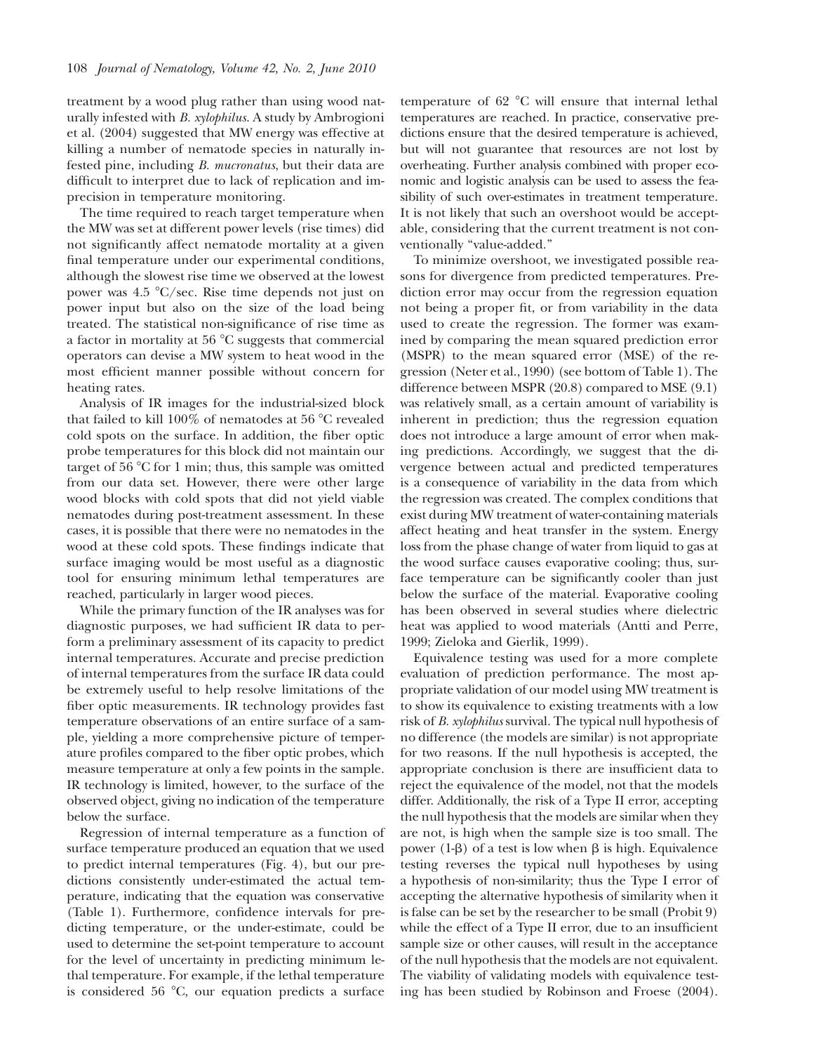treatment by a wood plug rather than using wood naturally infested with B. xylophilus. A study by Ambrogioni et al. (2004) suggested that MW energy was effective at killing a number of nematode species in naturally infested pine, including B. mucronatus, but their data are difficult to interpret due to lack of replication and imprecision in temperature monitoring.

The time required to reach target temperature when the MW was set at different power levels (rise times) did not significantly affect nematode mortality at a given final temperature under our experimental conditions, although the slowest rise time we observed at the lowest power was  $4.5 \text{ °C/sec}$ . Rise time depends not just on power input but also on the size of the load being treated. The statistical non-significance of rise time as a factor in mortality at 56 $\degree$ C suggests that commercial operators can devise a MW system to heat wood in the most efficient manner possible without concern for heating rates.

Analysis of IR images for the industrial-sized block that failed to kill  $100\%$  of nematodes at 56  $\degree$ C revealed cold spots on the surface. In addition, the fiber optic probe temperatures for this block did not maintain our target of  $56 \degree C$  for 1 min; thus, this sample was omitted from our data set. However, there were other large wood blocks with cold spots that did not yield viable nematodes during post-treatment assessment. In these cases, it is possible that there were no nematodes in the wood at these cold spots. These findings indicate that surface imaging would be most useful as a diagnostic tool for ensuring minimum lethal temperatures are reached, particularly in larger wood pieces.

While the primary function of the IR analyses was for diagnostic purposes, we had sufficient IR data to perform a preliminary assessment of its capacity to predict internal temperatures. Accurate and precise prediction of internal temperatures from the surface IR data could be extremely useful to help resolve limitations of the fiber optic measurements. IR technology provides fast temperature observations of an entire surface of a sample, yielding a more comprehensive picture of temperature profiles compared to the fiber optic probes, which measure temperature at only a few points in the sample. IR technology is limited, however, to the surface of the observed object, giving no indication of the temperature below the surface.

Regression of internal temperature as a function of surface temperature produced an equation that we used to predict internal temperatures (Fig. 4), but our predictions consistently under-estimated the actual temperature, indicating that the equation was conservative (Table 1). Furthermore, confidence intervals for predicting temperature, or the under-estimate, could be used to determine the set-point temperature to account for the level of uncertainty in predicting minimum lethal temperature. For example, if the lethal temperature is considered 56  $^{\circ}$ C, our equation predicts a surface

temperature of  $62$  °C will ensure that internal lethal temperatures are reached. In practice, conservative predictions ensure that the desired temperature is achieved, but will not guarantee that resources are not lost by overheating. Further analysis combined with proper economic and logistic analysis can be used to assess the feasibility of such over-estimates in treatment temperature. It is not likely that such an overshoot would be acceptable, considering that the current treatment is not conventionally "value-added."

To minimize overshoot, we investigated possible reasons for divergence from predicted temperatures. Prediction error may occur from the regression equation not being a proper fit, or from variability in the data used to create the regression. The former was examined by comparing the mean squared prediction error (MSPR) to the mean squared error (MSE) of the regression (Neter et al., 1990) (see bottom of Table 1). The difference between MSPR (20.8) compared to MSE (9.1) was relatively small, as a certain amount of variability is inherent in prediction; thus the regression equation does not introduce a large amount of error when making predictions. Accordingly, we suggest that the divergence between actual and predicted temperatures is a consequence of variability in the data from which the regression was created. The complex conditions that exist during MW treatment of water-containing materials affect heating and heat transfer in the system. Energy loss from the phase change of water from liquid to gas at the wood surface causes evaporative cooling; thus, surface temperature can be significantly cooler than just below the surface of the material. Evaporative cooling has been observed in several studies where dielectric heat was applied to wood materials (Antti and Perre, 1999; Zieloka and Gierlik, 1999).

Equivalence testing was used for a more complete evaluation of prediction performance. The most appropriate validation of our model using MW treatment is to show its equivalence to existing treatments with a low risk of B. xylophilus survival. The typical null hypothesis of no difference (the models are similar) is not appropriate for two reasons. If the null hypothesis is accepted, the appropriate conclusion is there are insufficient data to reject the equivalence of the model, not that the models differ. Additionally, the risk of a Type II error, accepting the null hypothesis that the models are similar when they are not, is high when the sample size is too small. The power  $(1-\beta)$  of a test is low when  $\beta$  is high. Equivalence testing reverses the typical null hypotheses by using a hypothesis of non-similarity; thus the Type I error of accepting the alternative hypothesis of similarity when it is false can be set by the researcher to be small (Probit 9) while the effect of a Type II error, due to an insufficient sample size or other causes, will result in the acceptance of the null hypothesis that the models are not equivalent. The viability of validating models with equivalence testing has been studied by Robinson and Froese (2004).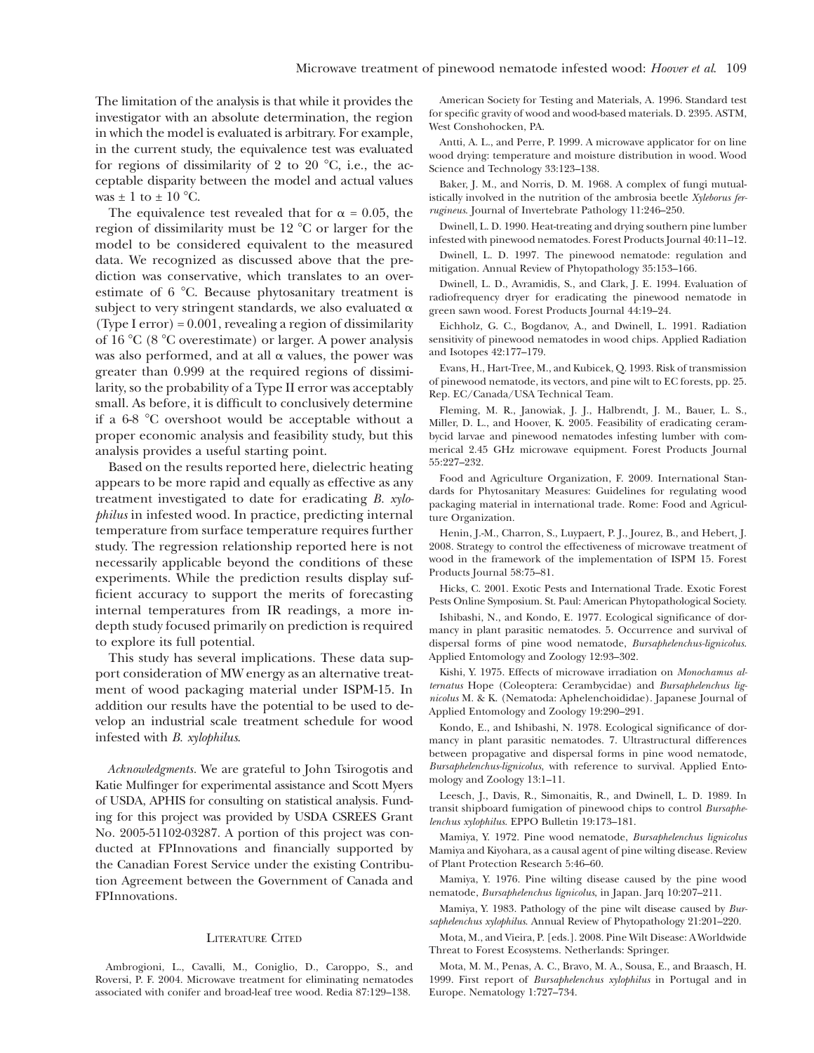The limitation of the analysis is that while it provides the investigator with an absolute determination, the region in which the model is evaluated is arbitrary. For example, in the current study, the equivalence test was evaluated for regions of dissimilarity of 2 to 20  $\degree$ C, i.e., the acceptable disparity between the model and actual values was  $\pm$  1 to  $\pm$  10 °C.

The equivalence test revealed that for  $\alpha = 0.05$ , the region of dissimilarity must be  $12 \degree C$  or larger for the model to be considered equivalent to the measured data. We recognized as discussed above that the prediction was conservative, which translates to an overestimate of 6 °C. Because phytosanitary treatment is subject to very stringent standards, we also evaluated  $\alpha$ (Type I error) = 0.001, revealing a region of dissimilarity of 16  $\degree$ C (8  $\degree$ C overestimate) or larger. A power analysis was also performed, and at all  $\alpha$  values, the power was greater than 0.999 at the required regions of dissimilarity, so the probability of a Type II error was acceptably small. As before, it is difficult to conclusively determine if a  $6-8$  °C overshoot would be acceptable without a proper economic analysis and feasibility study, but this analysis provides a useful starting point.

Based on the results reported here, dielectric heating appears to be more rapid and equally as effective as any treatment investigated to date for eradicating B. xylophilus in infested wood. In practice, predicting internal temperature from surface temperature requires further study. The regression relationship reported here is not necessarily applicable beyond the conditions of these experiments. While the prediction results display sufficient accuracy to support the merits of forecasting internal temperatures from IR readings, a more indepth study focused primarily on prediction is required to explore its full potential.

This study has several implications. These data support consideration of MW energy as an alternative treatment of wood packaging material under ISPM-15. In addition our results have the potential to be used to develop an industrial scale treatment schedule for wood infested with B. xylophilus.

Acknowledgments. We are grateful to John Tsirogotis and Katie Mulfinger for experimental assistance and Scott Myers of USDA, APHIS for consulting on statistical analysis. Funding for this project was provided by USDA CSREES Grant No. 2005-51102-03287. A portion of this project was conducted at FPInnovations and financially supported by the Canadian Forest Service under the existing Contribution Agreement between the Government of Canada and FPInnovations.

## LITERATURE CITED

Ambrogioni, L., Cavalli, M., Coniglio, D., Caroppo, S., and Roversi, P. F. 2004. Microwave treatment for eliminating nematodes associated with conifer and broad-leaf tree wood. Redia 87:129–138.

American Society for Testing and Materials, A. 1996. Standard test for specific gravity of wood and wood-based materials. D. 2395. ASTM, West Conshohocken, PA.

Antti, A. L., and Perre, P. 1999. A microwave applicator for on line wood drying: temperature and moisture distribution in wood. Wood Science and Technology 33:123–138.

Baker, J. M., and Norris, D. M. 1968. A complex of fungi mutualistically involved in the nutrition of the ambrosia beetle Xyleborus ferrugineus. Journal of Invertebrate Pathology 11:246–250.

Dwinell, L. D. 1990. Heat-treating and drying southern pine lumber infested with pinewood nematodes. Forest Products Journal 40:11–12.

Dwinell, L. D. 1997. The pinewood nematode: regulation and mitigation. Annual Review of Phytopathology 35:153–166.

Dwinell, L. D., Avramidis, S., and Clark, J. E. 1994. Evaluation of radiofrequency dryer for eradicating the pinewood nematode in green sawn wood. Forest Products Journal 44:19–24.

Eichholz, G. C., Bogdanov, A., and Dwinell, L. 1991. Radiation sensitivity of pinewood nematodes in wood chips. Applied Radiation and Isotopes 42:177–179.

Evans, H., Hart-Tree, M., and Kubicek, Q. 1993. Risk of transmission of pinewood nematode, its vectors, and pine wilt to EC forests, pp. 25. Rep. EC/Canada/USA Technical Team.

Fleming, M. R., Janowiak, J. J., Halbrendt, J. M., Bauer, L. S., Miller, D. L., and Hoover, K. 2005. Feasibility of eradicating cerambycid larvae and pinewood nematodes infesting lumber with commerical 2.45 GHz microwave equipment. Forest Products Journal 55:227–232.

Food and Agriculture Organization, F. 2009. International Standards for Phytosanitary Measures: Guidelines for regulating wood packaging material in international trade. Rome: Food and Agriculture Organization.

Henin, J.-M., Charron, S., Luypaert, P. J., Jourez, B., and Hebert, J. 2008. Strategy to control the effectiveness of microwave treatment of wood in the framework of the implementation of ISPM 15. Forest Products Journal 58:75–81.

Hicks, C. 2001. Exotic Pests and International Trade. Exotic Forest Pests Online Symposium. St. Paul: American Phytopathological Society.

Ishibashi, N., and Kondo, E. 1977. Ecological significance of dormancy in plant parasitic nematodes. 5. Occurrence and survival of dispersal forms of pine wood nematode, Bursaphelenchus-lignicolus. Applied Entomology and Zoology 12:93–302.

Kishi, Y. 1975. Effects of microwave irradiation on Monochamus alternatus Hope (Coleoptera: Cerambycidae) and Bursaphelenchus lignicolus M. & K. (Nematoda: Aphelenchoididae). Japanese Journal of Applied Entomology and Zoology 19:290–291.

Kondo, E., and Ishibashi, N. 1978. Ecological significance of dormancy in plant parasitic nematodes. 7. Ultrastructural differences between propagative and dispersal forms in pine wood nematode, Bursaphelenchus-lignicolus, with reference to survival. Applied Entomology and Zoology 13:1–11.

Leesch, J., Davis, R., Simonaitis, R., and Dwinell, L. D. 1989. In transit shipboard fumigation of pinewood chips to control Bursaphelenchus xylophilus. EPPO Bulletin 19:173–181.

Mamiya, Y. 1972. Pine wood nematode, Bursaphelenchus lignicolus Mamiya and Kiyohara, as a causal agent of pine wilting disease. Review of Plant Protection Research 5:46–60.

Mamiya, Y. 1976. Pine wilting disease caused by the pine wood nematode, Bursaphelenchus lignicolus, in Japan. Jarq 10:207–211.

Mamiya, Y. 1983. Pathology of the pine wilt disease caused by Bursaphelenchus xylophilus. Annual Review of Phytopathology 21:201–220.

Mota, M., and Vieira, P. [eds.]. 2008. Pine Wilt Disease: A Worldwide Threat to Forest Ecosystems. Netherlands: Springer.

Mota, M. M., Penas, A. C., Bravo, M. A., Sousa, E., and Braasch, H. 1999. First report of Bursaphelenchus xylophilus in Portugal and in Europe. Nematology 1:727–734.